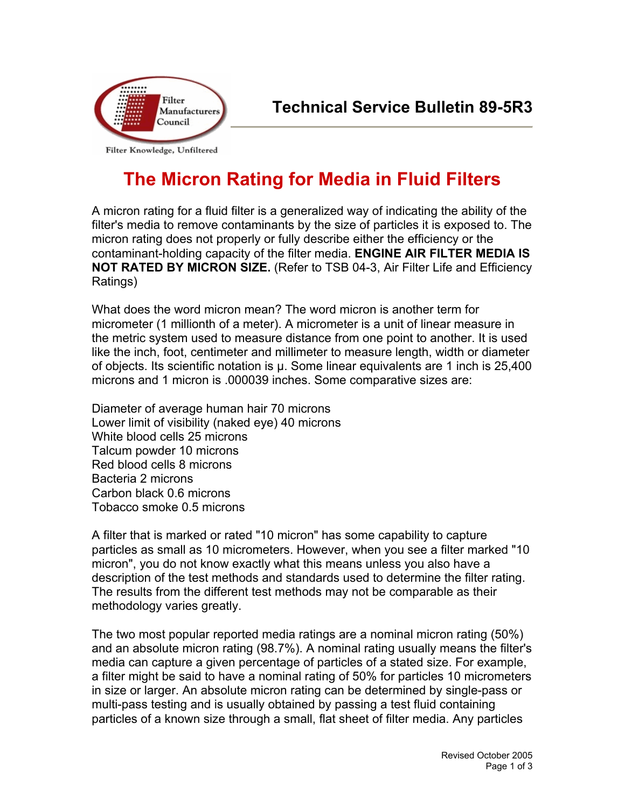

Filter Knowledge, Unfiltered

## **The Micron Rating for Media in Fluid Filters**

A micron rating for a fluid filter is a generalized way of indicating the ability of the filter's media to remove contaminants by the size of particles it is exposed to. The micron rating does not properly or fully describe either the efficiency or the contaminant-holding capacity of the filter media. **ENGINE AIR FILTER MEDIA IS NOT RATED BY MICRON SIZE.** (Refer to TSB 04-3, Air Filter Life and Efficiency Ratings)

What does the word micron mean? The word micron is another term for micrometer (1 millionth of a meter). A micrometer is a unit of linear measure in the metric system used to measure distance from one point to another. It is used like the inch, foot, centimeter and millimeter to measure length, width or diameter of objects. Its scientific notation is  $\mu$ . Some linear equivalents are 1 inch is 25,400 microns and 1 micron is .000039 inches. Some comparative sizes are:

Diameter of average human hair 70 microns Lower limit of visibility (naked eye) 40 microns White blood cells 25 microns Talcum powder 10 microns Red blood cells 8 microns Bacteria 2 microns Carbon black 0.6 microns Tobacco smoke 0.5 microns

A filter that is marked or rated "10 micron" has some capability to capture particles as small as 10 micrometers. However, when you see a filter marked "10 micron", you do not know exactly what this means unless you also have a description of the test methods and standards used to determine the filter rating. The results from the different test methods may not be comparable as their methodology varies greatly.

The two most popular reported media ratings are a nominal micron rating (50%) and an absolute micron rating (98.7%). A nominal rating usually means the filter's media can capture a given percentage of particles of a stated size. For example, a filter might be said to have a nominal rating of 50% for particles 10 micrometers in size or larger. An absolute micron rating can be determined by single-pass or multi-pass testing and is usually obtained by passing a test fluid containing particles of a known size through a small, flat sheet of filter media. Any particles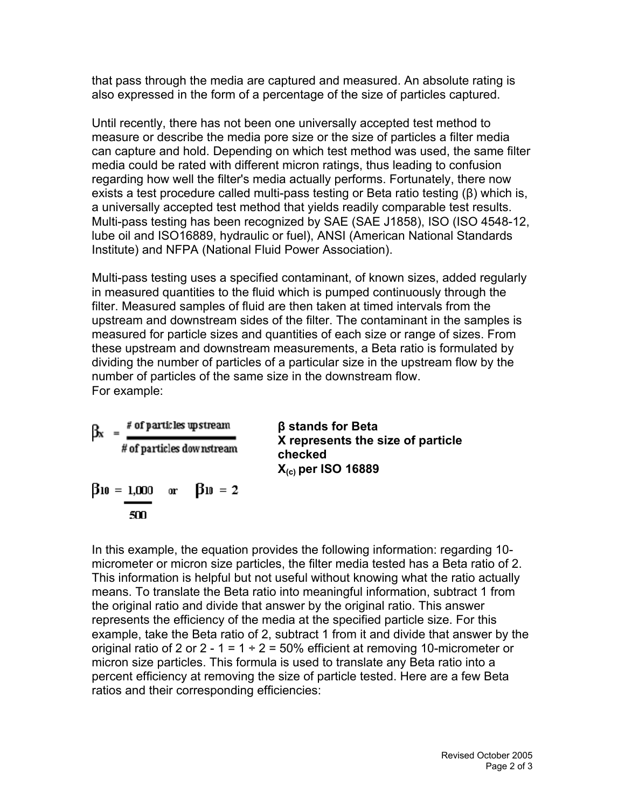that pass through the media are captured and measured. An absolute rating is also expressed in the form of a percentage of the size of particles captured.

Until recently, there has not been one universally accepted test method to measure or describe the media pore size or the size of particles a filter media can capture and hold. Depending on which test method was used, the same filter media could be rated with different micron ratings, thus leading to confusion regarding how well the filter's media actually performs. Fortunately, there now exists a test procedure called multi-pass testing or Beta ratio testing (β) which is, a universally accepted test method that yields readily comparable test results. Multi-pass testing has been recognized by SAE (SAE J1858), ISO (ISO 4548-12, lube oil and ISO16889, hydraulic or fuel), ANSI (American National Standards Institute) and NFPA (National Fluid Power Association).

Multi-pass testing uses a specified contaminant, of known sizes, added regularly in measured quantities to the fluid which is pumped continuously through the filter. Measured samples of fluid are then taken at timed intervals from the upstream and downstream sides of the filter. The contaminant in the samples is measured for particle sizes and quantities of each size or range of sizes. From these upstream and downstream measurements, a Beta ratio is formulated by dividing the number of particles of a particular size in the upstream flow by the number of particles of the same size in the downstream flow. For example:

# of particles upstream Вx # of particles downstream  $10 = 1,000$  $Bv = 2$  $\mathbf{r}$ 500.

**β stands for Beta X represents the size of particle checked X(c) per ISO 16889** 

In this example, the equation provides the following information: regarding 10 micrometer or micron size particles, the filter media tested has a Beta ratio of 2. This information is helpful but not useful without knowing what the ratio actually means. To translate the Beta ratio into meaningful information, subtract 1 from the original ratio and divide that answer by the original ratio. This answer represents the efficiency of the media at the specified particle size. For this example, take the Beta ratio of 2, subtract 1 from it and divide that answer by the original ratio of 2 or 2 - 1 = 1  $\div$  2 = 50% efficient at removing 10-micrometer or micron size particles. This formula is used to translate any Beta ratio into a percent efficiency at removing the size of particle tested. Here are a few Beta ratios and their corresponding efficiencies: